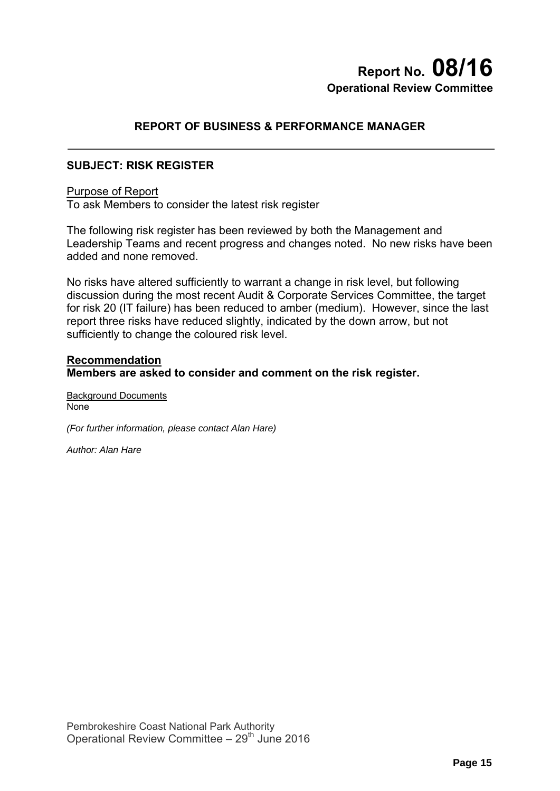# **Report No. 08/16 Operational Review Committee**

## **REPORT OF BUSINESS & PERFORMANCE MANAGER**

## **SUBJECT: RISK REGISTER**

#### Purpose of Report

To ask Members to consider the latest risk register

The following risk register has been reviewed by both the Management and Leadership Teams and recent progress and changes noted. No new risks have been added and none removed.

No risks have altered sufficiently to warrant a change in risk level, but following discussion during the most recent Audit & Corporate Services Committee, the target for risk 20 (IT failure) has been reduced to amber (medium). However, since the last report three risks have reduced slightly, indicated by the down arrow, but not sufficiently to change the coloured risk level.

### **Recommendation Members are asked to consider and comment on the risk register.**

Background Documents **None** 

*(For further information, please contact Alan Hare)* 

*Author: Alan Hare*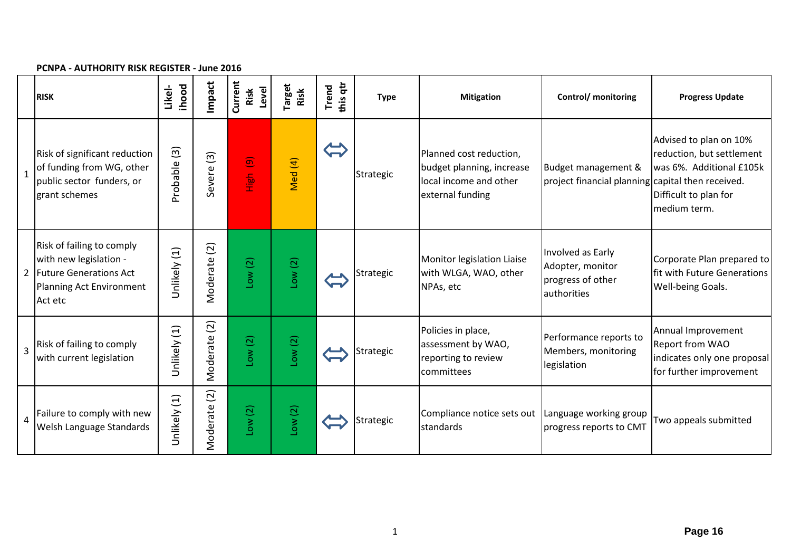|                | r Civr A - AO HIONITT NON NEODTEN - JUNE 2010                                                                          |                         |                             |                                    |                       |                   |             |                                                                                                    |                                                                           |                                                                                                                          |
|----------------|------------------------------------------------------------------------------------------------------------------------|-------------------------|-----------------------------|------------------------------------|-----------------------|-------------------|-------------|----------------------------------------------------------------------------------------------------|---------------------------------------------------------------------------|--------------------------------------------------------------------------------------------------------------------------|
|                | <b>RISK</b>                                                                                                            | <b>ihood</b><br>Likel-  | Impact                      | Current<br>Level<br>Risk           | <b>Target</b><br>Risk | this qtr<br>Trend | <b>Type</b> | <b>Mitigation</b>                                                                                  | Control/ monitoring                                                       | <b>Progress Update</b>                                                                                                   |
| $\mathbf{1}$   | Risk of significant reduction<br>of funding from WG, other<br>public sector funders, or<br>grant schemes               | $\boxed{3}$<br>Probable | Severe <sub>(3)</sub>       | $\widehat{\mathbf{e}}$<br>ies<br>E | Med (4)               |                   | Strategic   | Planned cost reduction,<br>budget planning, increase<br>local income and other<br>external funding | Budget management &<br>project financial planning capital then received.  | Advised to plan on 10%<br>reduction, but settlement<br>was 6%. Additional £105k<br>Difficult to plan for<br>medium term. |
|                | Risk of failing to comply<br>with new legislation -<br>2 Future Generations Act<br>Planning Act Environment<br>Act etc | Unlikely (1)            | $\overline{2}$<br>Moderate  | Low(2)                             | Low(2)                |                   | Strategic   | Monitor legislation Liaise<br>with WLGA, WAO, other<br>NPAs, etc                                   | Involved as Early<br>Adopter, monitor<br>progress of other<br>authorities | Corporate Plan prepared to<br>fit with Future Generations<br>Well-being Goals.                                           |
| $\overline{3}$ | Risk of failing to comply<br>with current legislation                                                                  | Unlikely (1)            | $\widetilde{c}$<br>Moderate | Low(2)                             | Low(2)                |                   | Strategic   | Policies in place,<br>assessment by WAO,<br>reporting to review<br>committees                      | Performance reports to<br>Members, monitoring<br>legislation              | Annual Improvement<br><b>Report from WAO</b><br>indicates only one proposal<br>for further improvement                   |
| $\overline{a}$ | Failure to comply with new<br>Welsh Language Standards                                                                 | Unlikely (1)            | $\overline{2}$<br>Moderate  | Low(2)                             | Low(2)                |                   | Strategic   | Compliance notice sets out   Language working group<br>standards                                   | progress reports to CMT                                                   | Two appeals submitted                                                                                                    |

#### **PCNPA ‐ AUTHORITY RISK REGISTER ‐ June 2016**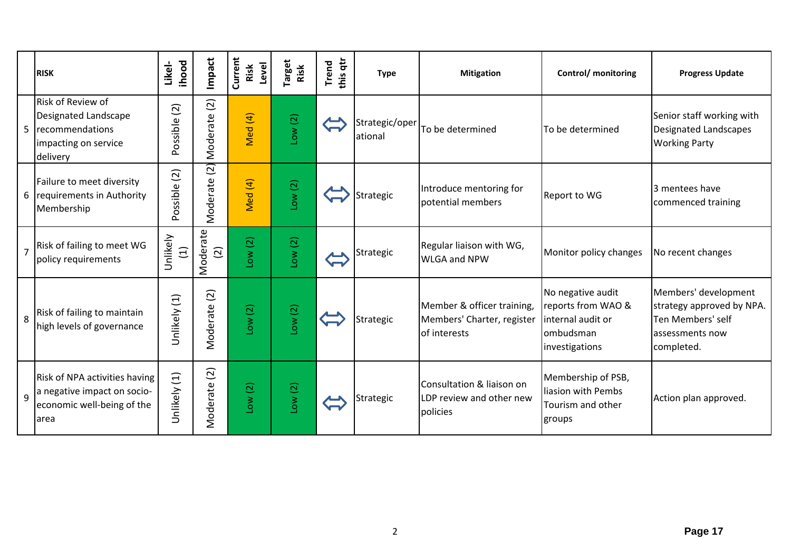|                | <b>RISK</b>                                                                                         | <b>ihood</b><br>Likel-  | Impact                     | Current<br>Level<br>Risk | <b>Target</b><br>Risk | this qtr<br><b>Trend</b> | <b>Type</b>               | <b>Mitigation</b>                                                        | Control/ monitoring                                                                         | <b>Progress Update</b>                                                                                  |
|----------------|-----------------------------------------------------------------------------------------------------|-------------------------|----------------------------|--------------------------|-----------------------|--------------------------|---------------------------|--------------------------------------------------------------------------|---------------------------------------------------------------------------------------------|---------------------------------------------------------------------------------------------------------|
| 5              | Risk of Review of<br>Designated Landscape<br>recommendations<br>impacting on service<br>delivery    | (2)<br>Possible         | $\overline{c}$<br>Moderate | Vled (4)                 | Low(2)                |                          | Strategic/oper<br>ational | To be determined                                                         | To be determined                                                                            | Senior staff working with<br>Designated Landscapes<br><b>Working Party</b>                              |
| 6              | Failure to meet diversity<br>requirements in Authority<br>Membership                                | $\boxed{2}$<br>Possible | $\overline{a}$<br>Moderate | Vled (4)                 | Low(2)                |                          | Strategic                 | Introduce mentoring for<br>potential members                             | Report to WG                                                                                | 3 mentees have<br>commenced training                                                                    |
| $\overline{7}$ | Risk of failing to meet WG<br>policy requirements                                                   | Unlikely<br>$\Xi$       | Moderate<br>$\overline{2}$ | Low(2)                   | Low(2)                |                          | Strategic                 | Regular liaison with WG,<br><b>WLGA and NPW</b>                          | Monitor policy changes                                                                      | No recent changes                                                                                       |
| 8              | Risk of failing to maintain<br>high levels of governance                                            | Unlikely (1)            | $\overline{2}$<br>Moderate | Low(2)                   | Low(2)                |                          | Strategic                 | Member & officer training,<br>Members' Charter, register<br>of interests | No negative audit<br>reports from WAO &<br>internal audit or<br>ombudsman<br>investigations | Members' development<br>strategy approved by NPA.<br>Ten Members' self<br>assessments now<br>completed. |
| $\mathsf{q}$   | Risk of NPA activities having<br>a negative impact on socio-<br>economic well-being of the<br>larea | Unlikely (1)            | Moderate (2)               | Low(2)                   | Low(2)                |                          | Strategic                 | Consultation & liaison on<br>LDP review and other new<br>policies        | Membership of PSB,<br>liasion with Pembs<br>Tourism and other<br>groups                     | Action plan approved.                                                                                   |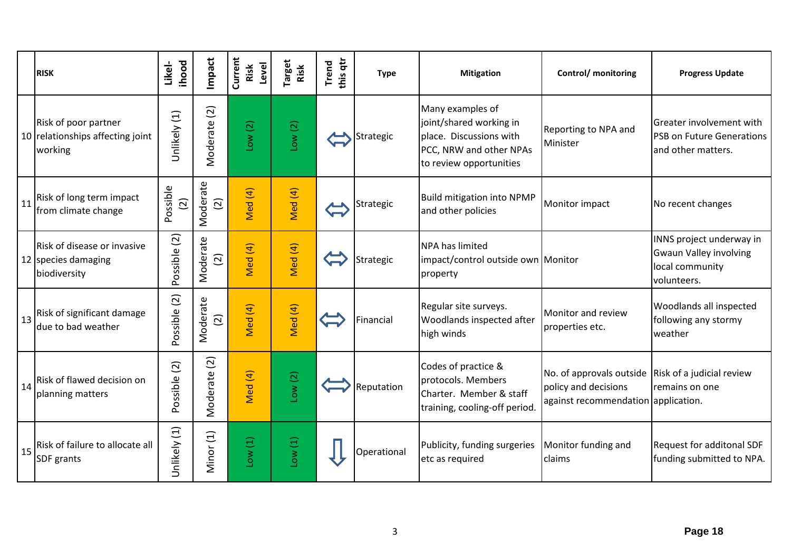|    | <b>RISK</b>                                                         | ihood<br>Likel-         | Impact                           | Current<br>Level<br>Risk | <b>Target</b><br>Risk | this qtr<br>Trend | <b>Type</b> | <b>Mitigation</b>                                                                                                            | Control/ monitoring                                                                                                       | <b>Progress Update</b>                                                                      |
|----|---------------------------------------------------------------------|-------------------------|----------------------------------|--------------------------|-----------------------|-------------------|-------------|------------------------------------------------------------------------------------------------------------------------------|---------------------------------------------------------------------------------------------------------------------------|---------------------------------------------------------------------------------------------|
|    | Risk of poor partner<br>10 relationships affecting joint<br>working | Unlikely (1)            | $\widetilde{\Omega}$<br>Moderate | Low(2)                   | Low(2)                |                   | Strategic   | Many examples of<br>joint/shared working in<br>place. Discussions with<br>PCC, NRW and other NPAs<br>to review opportunities | Reporting to NPA and<br>Minister                                                                                          | Greater involvement with<br><b>PSB on Future Generations</b><br>and other matters.          |
| 11 | Risk of long term impact<br>from climate change                     | Possible<br>$\boxed{2}$ | Moderate<br>$\boxed{2}$          | Med (4)                  | Med (4)               |                   | Strategic   | <b>Build mitigation into NPMP</b><br>and other policies                                                                      | Monitor impact                                                                                                            | No recent changes                                                                           |
|    | Risk of disease or invasive<br>12 species damaging<br>biodiversity  | Possible (2)            | Moderate<br>$\overline{2}$       | Med (4)                  | Med (4)               |                   | Strategic   | <b>NPA has limited</b><br>impact/control outside own Monitor<br>property                                                     |                                                                                                                           | INNS project underway in<br><b>Gwaun Valley involving</b><br>local community<br>volunteers. |
| 13 | Risk of significant damage<br>due to bad weather                    | Possible (2)            | Moderate<br>$\overline{2}$       | Med (4)                  | Med (4)               |                   | Financial   | Regular site surveys.<br>Woodlands inspected after<br>high winds                                                             | Monitor and review<br>properties etc.                                                                                     | Woodlands all inspected<br>following any stormy<br>weather                                  |
| 14 | Risk of flawed decision on<br>planning matters                      | Possible (2)            | Moderate (2)                     | Med (4)                  | Low(2)                |                   | Reputation  | Codes of practice &<br>protocols. Members<br>Charter. Member & staff<br>training, cooling-off period.                        | No. of approvals outside $\vert$ Risk of a judicial review<br>policy and decisions<br>against recommendation application. | remains on one                                                                              |
| 15 | Risk of failure to allocate all<br>SDF grants                       | Unlikely (1)            | Minor (1)                        | Low(1)                   | Low(1)                |                   | Operational | Publicity, funding surgeries<br>etc as required                                                                              | Monitor funding and<br>claims                                                                                             | Request for additonal SDF<br>funding submitted to NPA.                                      |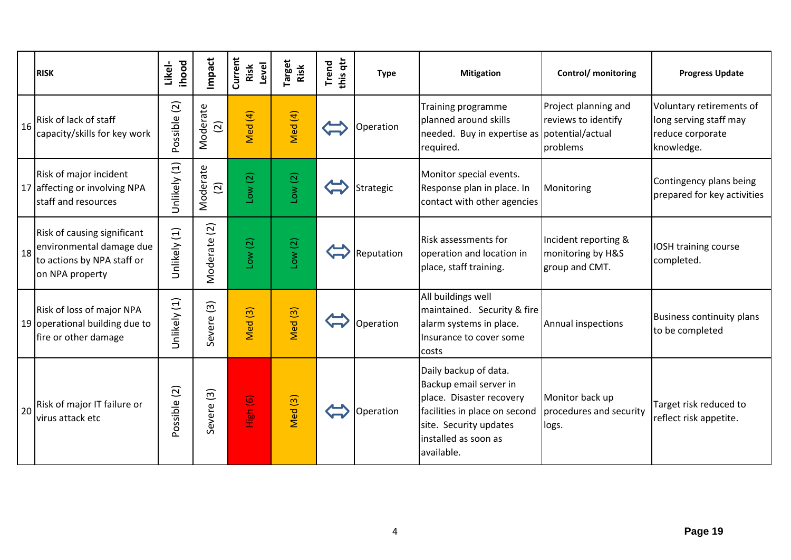|    | <b>RISK</b>                                                                                              | ihood<br>Likel- | Impact                              | Current<br>Level<br>Risk | arget<br>Risk      | this qtr<br>Trend | <b>Type</b> | <b>Mitigation</b>                                                                                                                                                            | Control/ monitoring                                         | <b>Progress Update</b>                                                               |
|----|----------------------------------------------------------------------------------------------------------|-----------------|-------------------------------------|--------------------------|--------------------|-------------------|-------------|------------------------------------------------------------------------------------------------------------------------------------------------------------------------------|-------------------------------------------------------------|--------------------------------------------------------------------------------------|
| 16 | Risk of lack of staff<br>capacity/skills for key work                                                    | Possible (2)    | Moderate<br>$\overline{2}$          | Med (4)                  | Med (4)            |                   | Operation   | Training programme<br>planned around skills<br>needed. Buy in expertise as potential/actual<br>required.                                                                     | Project planning and<br>reviews to identify<br>problems     | Voluntary retirements of<br>long serving staff may<br>reduce corporate<br>knowledge. |
|    | Risk of major incident<br>17 affecting or involving NPA<br>staff and resources                           | Unlikely (1)    | Moderate<br>$\overline{2}$          | Low(2)                   | Low(2)             |                   | Strategic   | Monitor special events.<br>Response plan in place. In<br>contact with other agencies                                                                                         | Monitoring                                                  | Contingency plans being<br>prepared for key activities                               |
| 18 | Risk of causing significant<br>environmental damage due<br>to actions by NPA staff or<br>on NPA property | Unlikely (1)    | $\boxed{2}$<br>Moderate             | Low(2)                   | Low(2)             |                   | Reputation  | <b>Risk assessments for</b><br>operation and location in<br>place, staff training.                                                                                           | Incident reporting &<br>monitoring by H&S<br>group and CMT. | IOSH training course<br>completed.                                                   |
|    | Risk of loss of major NPA<br>19 operational building due to<br>fire or other damage                      | Jnlikely (1)    | $\widetilde{\mathcal{E}}$<br>Severe | $\overline{3}$<br>Med    | Med (3)            |                   | Operation   | All buildings well<br>maintained. Security & fire<br>alarm systems in place.<br>Insurance to cover some<br>costs                                                             | Annual inspections                                          | <b>Business continuity plans</b><br>to be completed                                  |
| 20 | Risk of major IT failure or<br>virus attack etc                                                          | Possible (2)    | Severe (3)                          | High (6)                 | Med <sub>(3)</sub> |                   | Operation   | Daily backup of data.<br>Backup email server in<br>place. Disaster recovery<br>facilities in place on second<br>site. Security updates<br>installed as soon as<br>available. | Monitor back up<br>procedures and security<br>logs.         | Target risk reduced to<br>reflect risk appetite.                                     |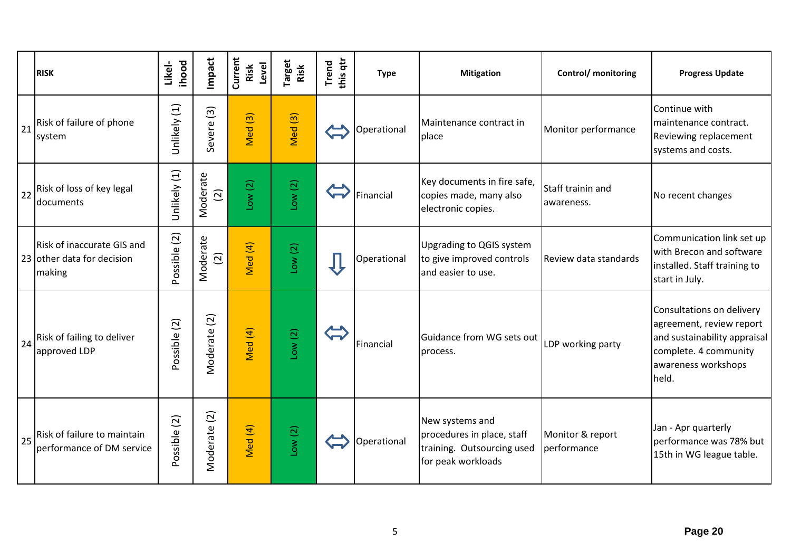|    | <b>RISK</b>                                                        | ihood<br>Likel- | Impact                     | Current<br>Level<br>Risk | Target<br>Risk     | this qtr<br><b>Trend</b> | <b>Type</b> | <b>Mitigation</b>                                                                                 | <b>Control/</b> monitoring      | <b>Progress Update</b>                                                                                                                         |
|----|--------------------------------------------------------------------|-----------------|----------------------------|--------------------------|--------------------|--------------------------|-------------|---------------------------------------------------------------------------------------------------|---------------------------------|------------------------------------------------------------------------------------------------------------------------------------------------|
| 21 | Risk of failure of phone<br>system                                 | Unlikely (1)    | $\widehat{S}$<br>Severe    | $\boxed{3}$<br>Med       | Med <sub>(3)</sub> |                          | Operational | Maintenance contract in<br>place                                                                  | Monitor performance             | Continue with<br>maintenance contract.<br>Reviewing replacement<br>systems and costs.                                                          |
|    | 22 Risk of loss of key legal<br>documents                          | Unlikely (1)    | Moderate<br>$\widehat{2}$  | Low(2)                   | Low(2)             |                          | Financial   | Key documents in fire safe,<br>copies made, many also<br>electronic copies.                       | Staff trainin and<br>awareness. | No recent changes                                                                                                                              |
|    | Risk of inaccurate GIS and<br>23 other data for decision<br>making | Possible (2)    | Moderate<br>$\overline{c}$ | Med (4)                  | Low(2)             |                          | Operational | <b>Upgrading to QGIS system</b><br>to give improved controls<br>and easier to use.                | Review data standards           | Communication link set up<br>with Brecon and software<br>installed. Staff training to<br>start in July.                                        |
| 24 | Risk of failing to deliver<br>approved LDP                         | Possible (2)    | Moderate (2)               | Med (4)                  | Low(2)             |                          | Financial   | Guidance from WG sets out<br>process.                                                             | LDP working party               | Consultations on delivery<br>agreement, review report<br>and sustainability appraisal<br>complete. 4 community<br>awareness workshops<br>held. |
| 25 | Risk of failure to maintain<br>performance of DM service           | Possible (2)    | Moderate (2)               | Med (4)                  | Low(2)             |                          | Operational | New systems and<br>procedures in place, staff<br>training. Outsourcing used<br>for peak workloads | Monitor & report<br>performance | Jan - Apr quarterly<br>performance was 78% but<br>15th in WG league table.                                                                     |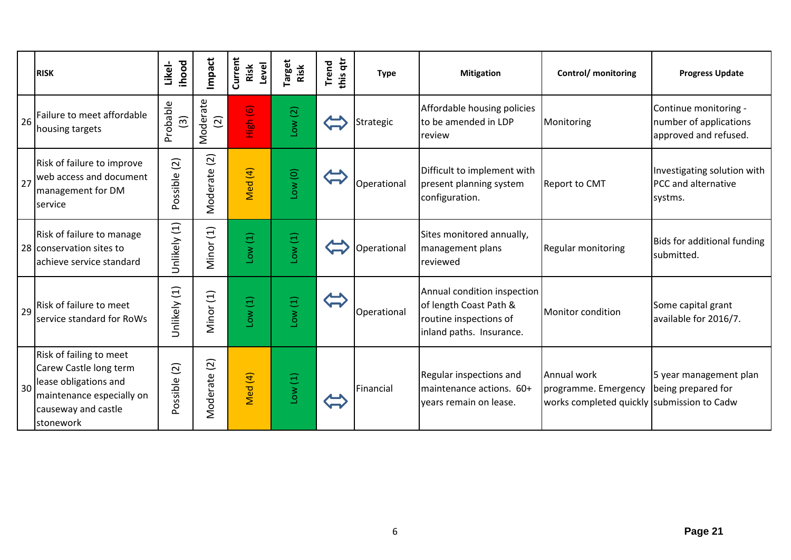|    | <b>RISK</b>                                                                                                                                 | <b>ihood</b><br>Likel-    | Impact                  | Current<br>Level<br>Risk | <b>Target</b><br>Risk | this qtr<br><b>Trend</b> | <b>Type</b> | <b>Mitigation</b>                                                                                           | Control/ monitoring                                                               | <b>Progress Update</b>                                                   |
|----|---------------------------------------------------------------------------------------------------------------------------------------------|---------------------------|-------------------------|--------------------------|-----------------------|--------------------------|-------------|-------------------------------------------------------------------------------------------------------------|-----------------------------------------------------------------------------------|--------------------------------------------------------------------------|
| 26 | Failure to meet affordable<br>housing targets                                                                                               | Probable<br>$\widehat{3}$ | Moderate<br>$\boxed{2}$ | High (6)                 | Low(2)                |                          | Strategic   | Affordable housing policies<br>to be amended in LDP<br>review                                               | Monitoring                                                                        | Continue monitoring -<br>number of applications<br>approved and refused. |
| 27 | Risk of failure to improve<br>web access and document<br>management for DM<br>service                                                       | (2)<br>Possible           | (2)<br>Moderate         | Med (4)                  | Low(0)                |                          | Operational | Difficult to implement with<br>present planning system<br>configuration.                                    | <b>Report to CMT</b>                                                              | Investigating solution with<br>PCC and alternative<br>systms.            |
|    | Risk of failure to manage<br>28 conservation sites to<br>achieve service standard                                                           | Unlikely (1)              | Minor (1)               | $(1)$ wo-                | Low(1)                |                          | Operational | Sites monitored annually,<br>management plans<br>reviewed                                                   | <b>Regular monitoring</b>                                                         | Bids for additional funding<br>submitted.                                |
| 29 | Risk of failure to meet<br>service standard for RoWs                                                                                        | Unlikely (1)              | Minor (1)               | Low(1)                   | Low(1)                |                          | Operational | Annual condition inspection<br>of length Coast Path &<br>routine inspections of<br>inland paths. Insurance. | Monitor condition                                                                 | Some capital grant<br>available for 2016/7.                              |
| 30 | Risk of failing to meet<br>Carew Castle long term<br>lease obligations and<br>maintenance especially on<br>causeway and castle<br>stonework | $\boxed{2}$<br>Possible   | Moderate (2)            | Med (4)                  | Low(1)                |                          | Financial   | Regular inspections and<br>maintenance actions. 60+<br>years remain on lease.                               | Annual work<br>programme. Emergency<br>works completed quickly submission to Cadw | 5 year management plan<br>being prepared for                             |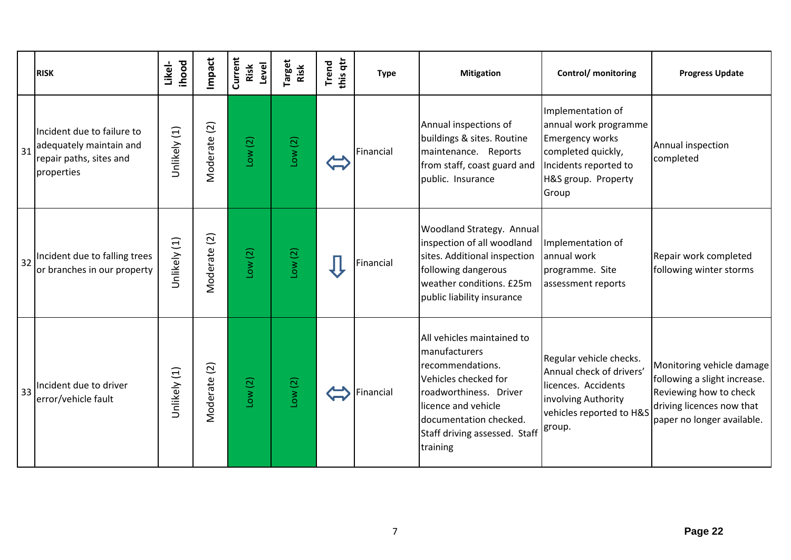|    | <b>RISK</b>                                                                                    | ihood<br>Likel- | Impact                     | Current<br>Level<br>Risk | <sup>r</sup> arget<br>Risk | this qtr<br><b>Trend</b> | <b>Type</b> | <b>Mitigation</b>                                                                                                                                                                                               | Control/ monitoring                                                                                                                                 | <b>Progress Update</b>                                                                                                                         |
|----|------------------------------------------------------------------------------------------------|-----------------|----------------------------|--------------------------|----------------------------|--------------------------|-------------|-----------------------------------------------------------------------------------------------------------------------------------------------------------------------------------------------------------------|-----------------------------------------------------------------------------------------------------------------------------------------------------|------------------------------------------------------------------------------------------------------------------------------------------------|
| 31 | Incident due to failure to<br>adequately maintain and<br>repair paths, sites and<br>properties | Unlikely (1)    | $\overline{c}$<br>Moderate | Low(2)                   | Low(2)                     |                          | Financial   | Annual inspections of<br>buildings & sites. Routine<br>maintenance. Reports<br>from staff, coast guard and<br>public. Insurance                                                                                 | Implementation of<br>annual work programme<br><b>Emergency works</b><br>completed quickly,<br>Incidents reported to<br>H&S group. Property<br>Group | Annual inspection<br>completed                                                                                                                 |
| 32 | Incident due to falling trees<br>or branches in our property                                   | Unlikely (1)    | Vloderate (2)              | Low(2)                   | Low(2)                     |                          | Financial   | <b>Woodland Strategy. Annual</b><br>inspection of all woodland<br>sites. Additional inspection<br>following dangerous<br>weather conditions. £25m<br>public liability insurance                                 | Implementation of<br>annual work<br>programme. Site<br>assessment reports                                                                           | Repair work completed<br>following winter storms                                                                                               |
| 33 | Incident due to driver<br>error/vehicle fault                                                  | Unlikely (1)    | Moderate (2)               | Low(2)                   | Low(2)                     |                          | Financial   | All vehicles maintained to<br>manufacturers<br>recommendations.<br>Vehicles checked for<br>roadworthiness. Driver<br>licence and vehicle<br>documentation checked.<br>Staff driving assessed. Staff<br>training | Regular vehicle checks.<br>Annual check of drivers'<br>licences. Accidents<br>involving Authority<br>vehicles reported to H&S<br>group.             | Monitoring vehicle damage<br>following a slight increase.<br>Reviewing how to check<br>driving licences now that<br>paper no longer available. |